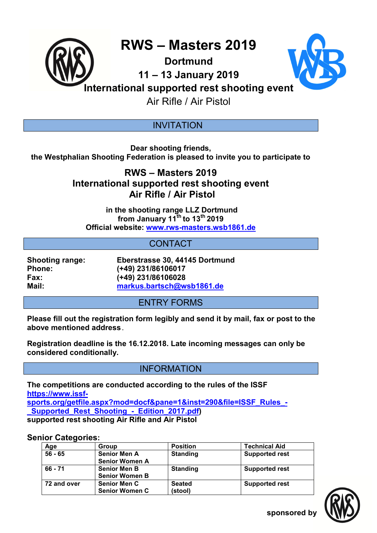

**Dortmund** 



**11 – 13 January 2019** 

**International supported rest shooting event**

Air Rifle / Air Pistol

### **INVITATION**

**Dear shooting friends, the Westphalian Shooting Federation is pleased to invite you to participate to** 

# **RWS – Masters 2019 International supported rest shooting event Air Rifle / Air Pistol**

 **in the shooting range LLZ Dortmund from January 11th to 13th 2019 Official website: www.rws-masters.wsb1861.de** 

## **CONTACT**

**Shooting range: Eberstrasse 30, 44145 Dortmund Phone: (+49) 231/86106017 Fax: (+49) 231/86106028 Mail: markus.bartsch@wsb1861.de**

# ENTRY FORMS

**Please fill out the registration form legibly and send it by mail, fax or post to the above mentioned address**.

**Registration deadline is the 16.12.2018. Late incoming messages can only be considered conditionally.**

INFORMATION

**The competitions are conducted according to the rules of the ISSF https://www.issfsports.org/getfile.aspx?mod=docf&pane=1&inst=290&file=ISSF\_Rules\_- \_Supported\_Rest\_Shooting\_-\_Edition\_2017.pdf) supported rest shooting Air Rifle and Air Pistol**

### **Senior Categories:**

| Age         | Group                                        | <b>Position</b>          | <b>Technical Aid</b>  |
|-------------|----------------------------------------------|--------------------------|-----------------------|
| $56 - 65$   | <b>Senior Men A</b><br><b>Senior Women A</b> | <b>Standing</b>          | <b>Supported rest</b> |
| 66 - 71     | <b>Senior Men B</b><br><b>Senior Women B</b> | <b>Standing</b>          | <b>Supported rest</b> |
| 72 and over | <b>Senior Men C</b><br><b>Senior Women C</b> | <b>Seated</b><br>(stool) | <b>Supported rest</b> |